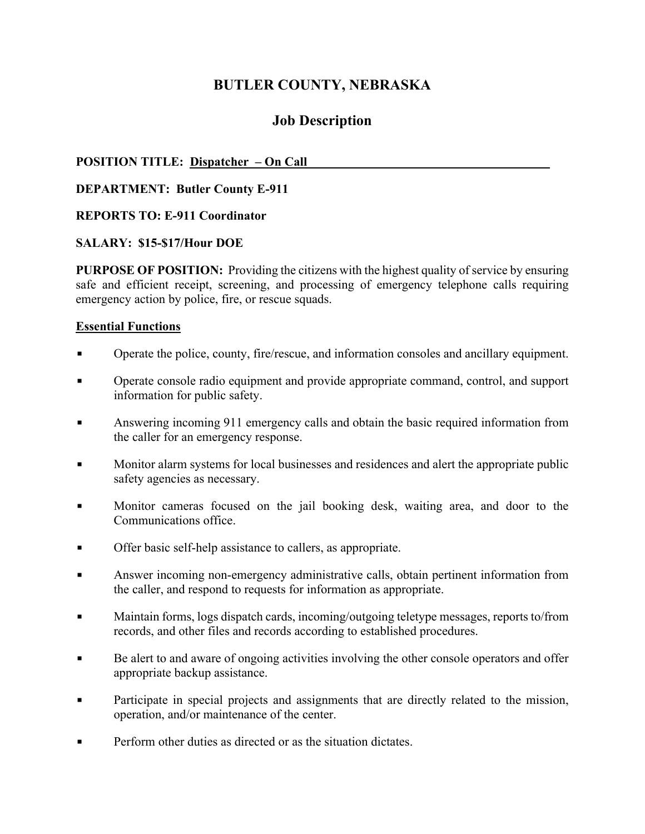# **BUTLER COUNTY, NEBRASKA**

# **Job Description**

### **POSITION TITLE: Dispatcher – On Call**

**DEPARTMENT: Butler County E-911** 

#### **REPORTS TO: E-911 Coordinator**

#### **SALARY: \$15-\$17/Hour DOE**

**PURPOSE OF POSITION:** Providing the citizens with the highest quality of service by ensuring safe and efficient receipt, screening, and processing of emergency telephone calls requiring emergency action by police, fire, or rescue squads.

#### **Essential Functions**

- Operate the police, county, fire/rescue, and information consoles and ancillary equipment.
- Operate console radio equipment and provide appropriate command, control, and support information for public safety.
- Answering incoming 911 emergency calls and obtain the basic required information from the caller for an emergency response.
- Monitor alarm systems for local businesses and residences and alert the appropriate public safety agencies as necessary.
- Monitor cameras focused on the jail booking desk, waiting area, and door to the Communications office.
- Offer basic self-help assistance to callers, as appropriate.
- Answer incoming non-emergency administrative calls, obtain pertinent information from the caller, and respond to requests for information as appropriate.
- Maintain forms, logs dispatch cards, incoming/outgoing teletype messages, reports to/from records, and other files and records according to established procedures.
- Be alert to and aware of ongoing activities involving the other console operators and offer appropriate backup assistance.
- Participate in special projects and assignments that are directly related to the mission, operation, and/or maintenance of the center.
- Perform other duties as directed or as the situation dictates.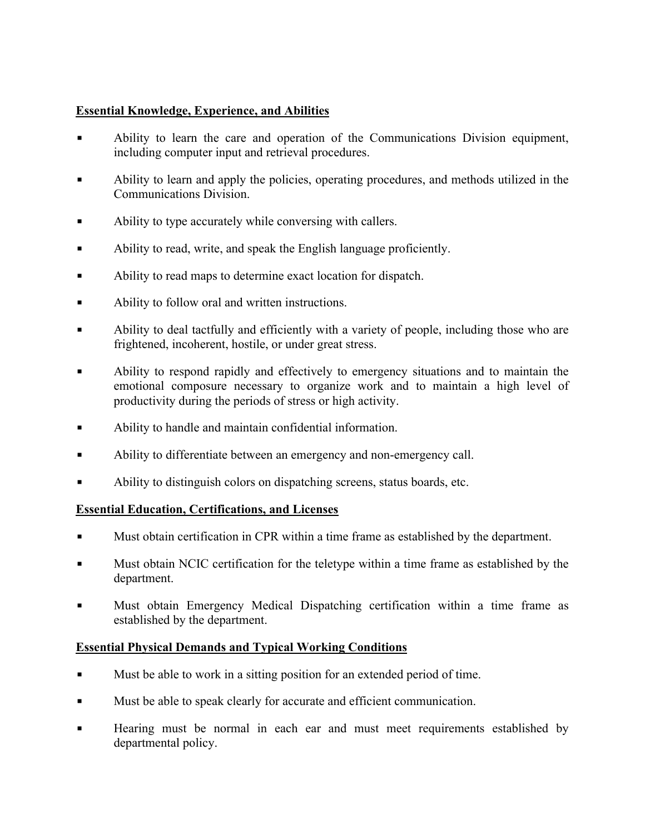### **Essential Knowledge, Experience, and Abilities**

- **▪** Ability to learn the care and operation of the Communications Division equipment, including computer input and retrieval procedures.
- **▪** Ability to learn and apply the policies, operating procedures, and methods utilized in the Communications Division.
- Ability to type accurately while conversing with callers.
- Ability to read, write, and speak the English language proficiently.
- Ability to read maps to determine exact location for dispatch.
- Ability to follow oral and written instructions.
- Ability to deal tactfully and efficiently with a variety of people, including those who are frightened, incoherent, hostile, or under great stress.
- **▪** Ability to respond rapidly and effectively to emergency situations and to maintain the emotional composure necessary to organize work and to maintain a high level of productivity during the periods of stress or high activity.
- **▪** Ability to handle and maintain confidential information.
- **▪** Ability to differentiate between an emergency and non-emergency call.
- Ability to distinguish colors on dispatching screens, status boards, etc.

## **Essential Education, Certifications, and Licenses**

- **▪** Must obtain certification in CPR within a time frame as established by the department.
- **▪** Must obtain NCIC certification for the teletype within a time frame as established by the department.
- **▪** Must obtain Emergency Medical Dispatching certification within a time frame as established by the department.

## **Essential Physical Demands and Typical Working Conditions**

- **▪** Must be able to work in a sitting position for an extended period of time.
- **▪** Must be able to speak clearly for accurate and efficient communication.
- **▪** Hearing must be normal in each ear and must meet requirements established by departmental policy.